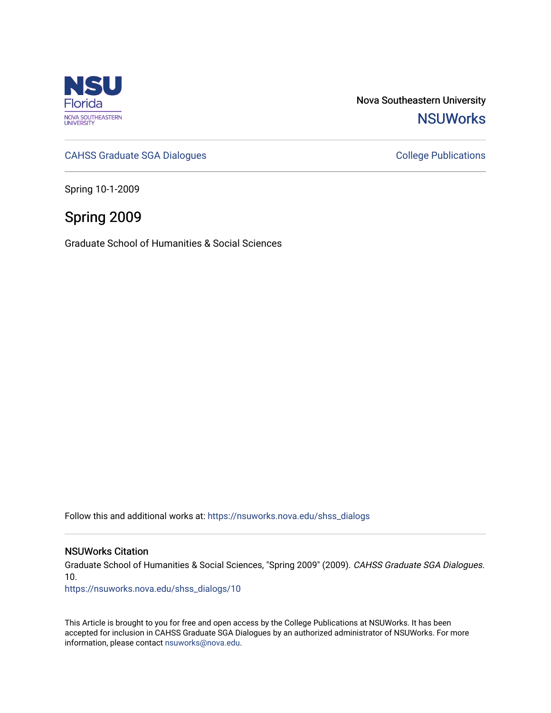

Nova Southeastern University **NSUWorks** 

[CAHSS Graduate SGA Dialogues](https://nsuworks.nova.edu/shss_dialogs) CAHSS Graduate SGA Dialogues

Spring 10-1-2009

# Spring 2009

Graduate School of Humanities & Social Sciences

Follow this and additional works at: [https://nsuworks.nova.edu/shss\\_dialogs](https://nsuworks.nova.edu/shss_dialogs?utm_source=nsuworks.nova.edu%2Fshss_dialogs%2F10&utm_medium=PDF&utm_campaign=PDFCoverPages)

#### NSUWorks Citation

Graduate School of Humanities & Social Sciences, "Spring 2009" (2009). CAHSS Graduate SGA Dialogues. 10.

[https://nsuworks.nova.edu/shss\\_dialogs/10](https://nsuworks.nova.edu/shss_dialogs/10?utm_source=nsuworks.nova.edu%2Fshss_dialogs%2F10&utm_medium=PDF&utm_campaign=PDFCoverPages) 

This Article is brought to you for free and open access by the College Publications at NSUWorks. It has been accepted for inclusion in CAHSS Graduate SGA Dialogues by an authorized administrator of NSUWorks. For more information, please contact [nsuworks@nova.edu.](mailto:nsuworks@nova.edu)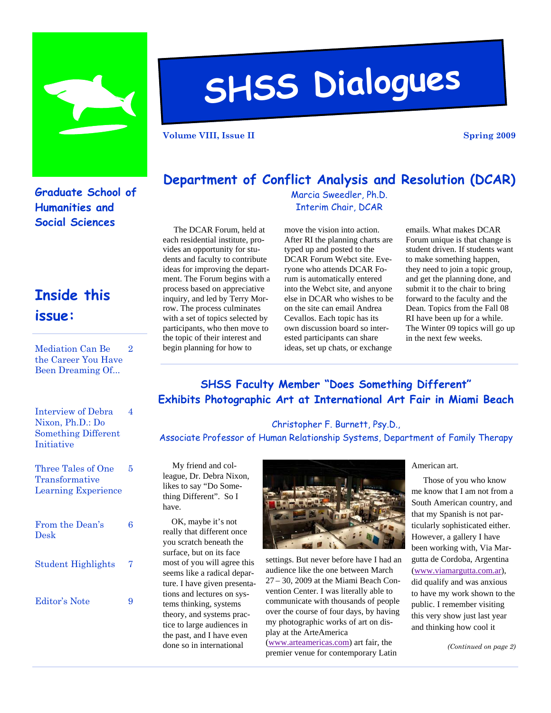

# **SHSS Dialogues**

**Volume VIII, Issue II** Spring 2009 **Spring 2009** 

## **Graduate School of Humanities and Social Sciences**

# **Inside this issue:**

Mediation Can Be the Career You Have Been Dreaming Of...  $\Omega$ 

| Interview of Debra         |   |
|----------------------------|---|
| Nixon, Ph.D.: Do           |   |
| <b>Something Different</b> |   |
| Initiative                 |   |
|                            |   |
| Three Tales of One         | 5 |
| Transformative             |   |
| <b>Learning Experience</b> |   |
|                            |   |

| From the Dean's<br>Desk   | 6 |
|---------------------------|---|
| <b>Student Highlights</b> | 7 |
| Editor's Note             |   |

# **Department of Conflict Analysis and Resolution (DCAR)**

Marcia Sweedler, Ph.D. Interim Chair, DCAR

 The DCAR Forum, held at each residential institute, provides an opportunity for students and faculty to contribute ideas for improving the department. The Forum begins with a process based on appreciative inquiry, and led by Terry Morrow. The process culminates with a set of topics selected by participants, who then move to the topic of their interest and begin planning for how to

move the vision into action. After RI the planning charts are typed up and posted to the DCAR Forum Webct site. Everyone who attends DCAR Forum is automatically entered into the Webct site, and anyone else in DCAR who wishes to be on the site can email Andrea Cevallos. Each topic has its own discussion board so interested participants can share ideas, set up chats, or exchange

emails. What makes DCAR Forum unique is that change is student driven. If students want to make something happen, they need to join a topic group, and get the planning done, and submit it to the chair to bring forward to the faculty and the Dean. Topics from the Fall 08 RI have been up for a while. The Winter 09 topics will go up in the next few weeks.

## **SHSS Faculty Member "Does Something Different" Exhibits Photographic Art at International Art Fair in Miami Beach**

Christopher F. Burnett, Psy.D., Associate Professor of Human Relationship Systems, Department of Family Therapy

 My friend and colleague, Dr. Debra Nixon, likes to say "Do Something Different". So I have.

 OK, maybe it's not really that different once you scratch beneath the surface, but on its face most of you will agree this seems like a radical departure. I have given presentations and lectures on systems thinking, systems theory, and systems practice to large audiences in the past, and I have even done so in international



settings. But never before have I had an audience like the one between March 27 – 30, 2009 at the Miami Beach Convention Center. I was literally able to communicate with thousands of people over the course of four days, by having my photographic works of art on display at the ArteAmerica

([www.arteamericas.com](http://www.arteamericas.com)) art fair, the premier venue for contemporary Latin

#### American art.

 Those of you who know me know that I am not from a South American country, and that my Spanish is not particularly sophisticated either. However, a gallery I have been working with, Via Margutta de Cordoba, Argentina ([www.viamargutta.com.ar\)](http://www.viamargutta.com.ar), did qualify and was anxious to have my work shown to the public. I remember visiting this very show just last year and thinking how cool it

*(Continued on page 2)*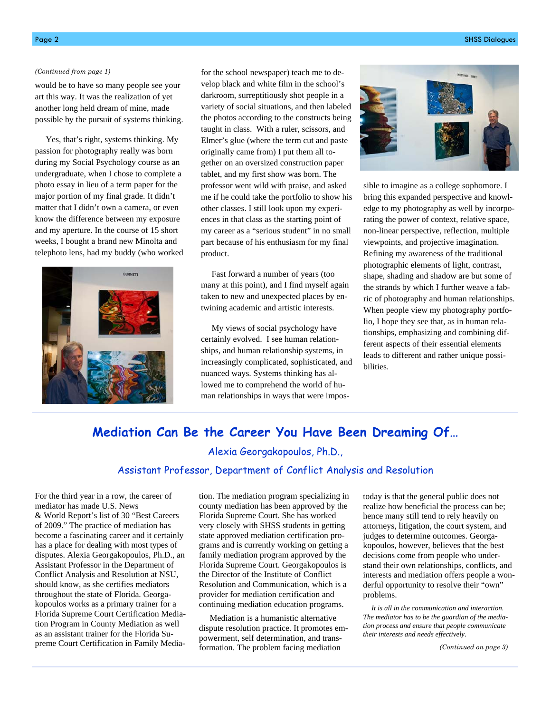#### *(Continued from page 1)*

would be to have so many people see your art this way. It was the realization of yet another long held dream of mine, made possible by the pursuit of systems thinking.

 Yes, that's right, systems thinking. My passion for photography really was born during my Social Psychology course as an undergraduate, when I chose to complete a photo essay in lieu of a term paper for the major portion of my final grade. It didn't matter that I didn't own a camera, or even know the difference between my exposure and my aperture. In the course of 15 short weeks, I bought a brand new Minolta and telephoto lens, had my buddy (who worked



for the school newspaper) teach me to develop black and white film in the school's darkroom, surreptitiously shot people in a variety of social situations, and then labeled the photos according to the constructs being taught in class. With a ruler, scissors, and Elmer's glue (where the term cut and paste originally came from) I put them all together on an oversized construction paper tablet, and my first show was born. The professor went wild with praise, and asked me if he could take the portfolio to show his other classes. I still look upon my experiences in that class as the starting point of my career as a "serious student" in no small part because of his enthusiasm for my final product.

 Fast forward a number of years (too many at this point), and I find myself again taken to new and unexpected places by entwining academic and artistic interests.

 My views of social psychology have certainly evolved. I see human relationships, and human relationship systems, in increasingly complicated, sophisticated, and nuanced ways. Systems thinking has allowed me to comprehend the world of human relationships in ways that were impos-



sible to imagine as a college sophomore. I bring this expanded perspective and knowledge to my photography as well by incorporating the power of context, relative space, non-linear perspective, reflection, multiple viewpoints, and projective imagination. Refining my awareness of the traditional photographic elements of light, contrast, shape, shading and shadow are but some of the strands by which I further weave a fabric of photography and human relationships. When people view my photography portfolio, I hope they see that, as in human relationships, emphasizing and combining different aspects of their essential elements leads to different and rather unique possibilities.

### **Mediation Can Be the Career You Have Been Dreaming Of…**

#### Alexia Georgakopoulos, Ph.D.,

#### Assistant Professor, Department of Conflict Analysis and Resolution

For the third year in a row, the career of mediator has made U.S. News & World Report's list of 30 "Best Careers of 2009." The practice of mediation has become a fascinating career and it certainly has a place for dealing with most types of disputes. Alexia Georgakopoulos, Ph.D., an Assistant Professor in the Department of Conflict Analysis and Resolution at NSU, should know, as she certifies mediators throughout the state of Florida. Georgakopoulos works as a primary trainer for a Florida Supreme Court Certification Mediation Program in County Mediation as well as an assistant trainer for the Florida Supreme Court Certification in Family Mediation. The mediation program specializing in county mediation has been approved by the Florida Supreme Court. She has worked very closely with SHSS students in getting state approved mediation certification programs and is currently working on getting a family mediation program approved by the Florida Supreme Court. Georgakopoulos is the Director of the Institute of Conflict Resolution and Communication, which is a provider for mediation certification and continuing mediation education programs.

 Mediation is a humanistic alternative dispute resolution practice. It promotes empowerment, self determination, and transformation. The problem facing mediation

today is that the general public does not realize how beneficial the process can be; hence many still tend to rely heavily on attorneys, litigation, the court system, and judges to determine outcomes. Georgakopoulos, however, believes that the best decisions come from people who understand their own relationships, conflicts, and interests and mediation offers people a wonderful opportunity to resolve their "own" problems.

 *It is all in the communication and interaction. The mediator has to be the guardian of the mediation process and ensure that people communicate their interests and needs effectively*.

*(Continued on page 3)*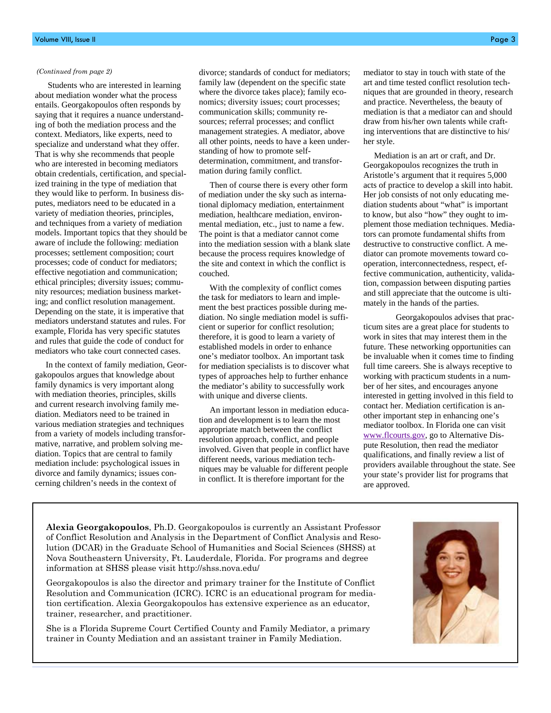#### *(Continued from page 2)*

 Students who are interested in learning about mediation wonder what the process entails. Georgakopoulos often responds by saying that it requires a nuance understanding of both the mediation process and the context. Mediators, like experts, need to specialize and understand what they offer. That is why she recommends that people who are interested in becoming mediators obtain credentials, certification, and specialized training in the type of mediation that they would like to perform. In business disputes, mediators need to be educated in a variety of mediation theories, principles, and techniques from a variety of mediation models. Important topics that they should be aware of include the following: mediation processes; settlement composition; court processes; code of conduct for mediators; effective negotiation and communication; ethical principles; diversity issues; community resources; mediation business marketing; and conflict resolution management. Depending on the state, it is imperative that mediators understand statutes and rules. For example, Florida has very specific statutes and rules that guide the code of conduct for mediators who take court connected cases.

 In the context of family mediation, Georgakopoulos argues that knowledge about family dynamics is very important along with mediation theories, principles, skills and current research involving family mediation. Mediators need to be trained in various mediation strategies and techniques from a variety of models including transformative, narrative, and problem solving mediation. Topics that are central to family mediation include: psychological issues in divorce and family dynamics; issues concerning children's needs in the context of

divorce; standards of conduct for mediators; family law (dependent on the specific state where the divorce takes place); family economics; diversity issues; court processes; communication skills; community resources; referral processes; and conflict management strategies. A mediator, above all other points, needs to have a keen understanding of how to promote selfdetermination, commitment, and transformation during family conflict.

 Then of course there is every other form of mediation under the sky such as international diplomacy mediation, entertainment mediation, healthcare mediation, environmental mediation, etc., just to name a few. The point is that a mediator cannot come into the mediation session with a blank slate because the process requires knowledge of the site and context in which the conflict is couched.

 With the complexity of conflict comes the task for mediators to learn and implement the best practices possible during mediation. No single mediation model is sufficient or superior for conflict resolution; therefore, it is good to learn a variety of established models in order to enhance one's mediator toolbox. An important task for mediation specialists is to discover what types of approaches help to further enhance the mediator's ability to successfully work with unique and diverse clients.

 An important lesson in mediation education and development is to learn the most appropriate match between the conflict resolution approach, conflict, and people involved. Given that people in conflict have different needs, various mediation techniques may be valuable for different people in conflict. It is therefore important for the

mediator to stay in touch with state of the art and time tested conflict resolution techniques that are grounded in theory, research and practice. Nevertheless, the beauty of mediation is that a mediator can and should draw from his/her own talents while crafting interventions that are distinctive to his/ her style.

 Mediation is an art or craft, and Dr. Georgakopoulos recognizes the truth in Aristotle's argument that it requires 5,000 acts of practice to develop a skill into habit. Her job consists of not only educating mediation students about "what" is important to know, but also "how" they ought to implement those mediation techniques. Mediators can promote fundamental shifts from destructive to constructive conflict. A mediator can promote movements toward cooperation, interconnectedness, respect, effective communication, authenticity, validation, compassion between disputing parties and still appreciate that the outcome is ultimately in the hands of the parties.

Georgakopoulos advises that practicum sites are a great place for students to work in sites that may interest them in the future. These networking opportunities can be invaluable when it comes time to finding full time careers. She is always receptive to working with practicum students in a number of her sites, and encourages anyone interested in getting involved in this field to contact her. Mediation certification is another important step in enhancing one's mediator toolbox. In Florida one can visit [www.flcourts.gov](http://www.flcourts.gov/), go to Alternative Dispute Resolution, then read the mediator qualifications, and finally review a list of providers available throughout the state. See your state's provider list for programs that are approved.

**Alexia Georgakopoulos**, Ph.D. Georgakopoulos is currently an Assistant Professor of Conflict Resolution and Analysis in the Department of Conflict Analysis and Resolution (DCAR) in the Graduate School of Humanities and Social Sciences (SHSS) at Nova Southeastern University, Ft. Lauderdale, Florida. For programs and degree information at SHSS please visit http://shss.nova.edu/

Georgakopoulos is also the director and primary trainer for the Institute of Conflict Resolution and Communication (ICRC). ICRC is an educational program for mediation certification. Alexia Georgakopoulos has extensive experience as an educator, trainer, researcher, and practitioner.

She is a Florida Supreme Court Certified County and Family Mediator, a primary trainer in County Mediation and an assistant trainer in Family Mediation.

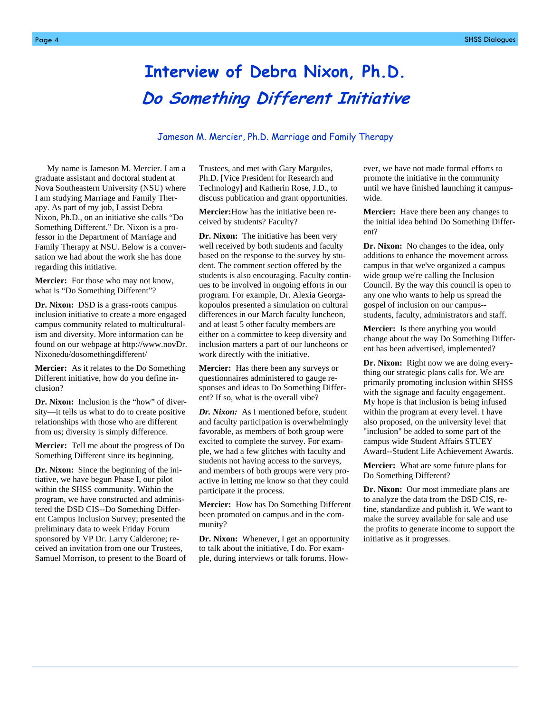# **Interview of Debra Nixon, Ph.D. Do Something Different Initiative**

#### Jameson M. Mercier, Ph.D. Marriage and Family Therapy

My name is Jameson M. Mercier. I am a graduate assistant and doctoral student at Nova Southeastern University (NSU) where I am studying Marriage and Family Therapy. As part of my job, I assist Debra Nixon, Ph.D., on an initiative she calls "Do Something Different." Dr. Nixon is a professor in the Department of Marriage and Family Therapy at NSU. Below is a conversation we had about the work she has done regarding this initiative.

**Mercier:** For those who may not know, what is "Do Something Different"?

**Dr. Nixon:** DSD is a grass-roots campus inclusion initiative to create a more engaged campus community related to multiculturalism and diversity. More information can be found on our webpage at http://www.novDr. Nixonedu/dosomethingdifferent/

**Mercier:** As it relates to the Do Something Different initiative, how do you define inclusion?

**Dr. Nixon:** Inclusion is the "how" of diversity—it tells us what to do to create positive relationships with those who are different from us; diversity is simply difference.

**Mercier:** Tell me about the progress of Do Something Different since its beginning.

**Dr. Nixon:** Since the beginning of the initiative, we have begun Phase I, our pilot within the SHSS community. Within the program, we have constructed and administered the DSD CIS--Do Something Different Campus Inclusion Survey; presented the preliminary data to week Friday Forum sponsored by VP Dr. Larry Calderone; received an invitation from one our Trustees, Samuel Morrison, to present to the Board of Trustees, and met with Gary Margules, Ph.D. [Vice President for Research and Technology] and Katherin Rose, J.D., to discuss publication and grant opportunities.

**Mercier:** How has the initiative been received by students? Faculty?

**Dr. Nixon:** The initiative has been very well received by both students and faculty based on the response to the survey by student. The comment section offered by the students is also encouraging. Faculty continues to be involved in ongoing efforts in our program. For example, Dr. Alexia Georgakopoulos presented a simulation on cultural differences in our March faculty luncheon, and at least 5 other faculty members are either on a committee to keep diversity and inclusion matters a part of our luncheons or work directly with the initiative.

**Mercier:** Has there been any surveys or questionnaires administered to gauge responses and ideas to Do Something Different? If so, what is the overall vibe?

*Dr. Nixon:* As I mentioned before, student and faculty participation is overwhelmingly favorable, as members of both group were excited to complete the survey. For example, we had a few glitches with faculty and students not having access to the surveys, and members of both groups were very proactive in letting me know so that they could participate it the process.

**Mercier:** How has Do Something Different been promoted on campus and in the community?

**Dr. Nixon:** Whenever, I get an opportunity to talk about the initiative, I do. For example, during interviews or talk forums. However, we have not made formal efforts to promote the initiative in the community until we have finished launching it campuswide.

**Mercier:** Have there been any changes to the initial idea behind Do Something Different?

**Dr. Nixon:** No changes to the idea, only additions to enhance the movement across campus in that we've organized a campus wide group we're calling the Inclusion Council. By the way this council is open to any one who wants to help us spread the gospel of inclusion on our campus- students, faculty, administrators and staff.

**Mercier:**Is there anything you would change about the way Do Something Different has been advertised, implemented?

**Dr. Nixon:** Right now we are doing everything our strategic plans calls for. We are primarily promoting inclusion within SHSS with the signage and faculty engagement. My hope is that inclusion is being infused within the program at every level. I have also proposed, on the university level that "inclusion" be added to some part of the campus wide Student Affairs STUEY Award--Student Life Achievement Awards.

**Mercier:** What are some future plans for Do Something Different?

**Dr. Nixon:** Our most immediate plans are to analyze the data from the DSD CIS, refine, standardize and publish it. We want to make the survey available for sale and use the profits to generate income to support the initiative as it progresses.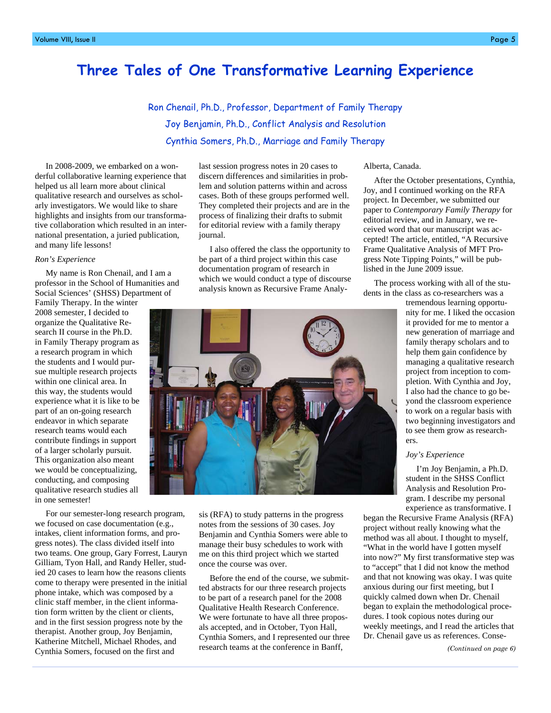## **Three Tales of One Transformative Learning Experience**

Ron Chenail, Ph.D., Professor, Department of Family Therapy Joy Benjamin, Ph.D., Conflict Analysis and Resolution Cynthia Somers, Ph.D., Marriage and Family Therapy

 In 2008-2009, we embarked on a wonderful collaborative learning experience that helped us all learn more about clinical qualitative research and ourselves as scholarly investigators. We would like to share highlights and insights from our transformative collaboration which resulted in an international presentation, a juried publication, and many life lessons!

#### *Ron's Experience*

 My name is Ron Chenail, and I am a professor in the School of Humanities and Social Sciences' (SHSS) Department of

Family Therapy. In the winter 2008 semester, I decided to organize the Qualitative Research II course in the Ph.D. in Family Therapy program as a research program in which the students and I would pursue multiple research projects within one clinical area. In this way, the students would experience what it is like to be part of an on-going research endeavor in which separate research teams would each contribute findings in support of a larger scholarly pursuit. This organization also meant we would be conceptualizing, conducting, and composing qualitative research studies all in one semester!

 For our semester-long research program, we focused on case documentation (e.g., intakes, client information forms, and progress notes). The class divided itself into two teams. One group, Gary Forrest, Lauryn Gilliam, Tyon Hall, and Randy Heller, studied 20 cases to learn how the reasons clients come to therapy were presented in the initial phone intake, which was composed by a clinic staff member, in the client information form written by the client or clients, and in the first session progress note by the therapist. Another group, Joy Benjamin, Katherine Mitchell, Michael Rhodes, and Cynthia Somers, focused on the first and

last session progress notes in 20 cases to discern differences and similarities in problem and solution patterns within and across cases. Both of these groups performed well. They completed their projects and are in the process of finalizing their drafts to submit for editorial review with a family therapy journal.

 I also offered the class the opportunity to be part of a third project within this case documentation program of research in which we would conduct a type of discourse analysis known as Recursive Frame Analy-

#### Alberta, Canada.

 After the October presentations, Cynthia, Joy, and I continued working on the RFA project. In December, we submitted our paper to *Contemporary Family Therapy* for editorial review, and in January, we received word that our manuscript was accepted! The article, entitled, "A Recursive Frame Qualitative Analysis of MFT Progress Note Tipping Points," will be published in the June 2009 issue.

 The process working with all of the students in the class as co-researchers was a

> tremendous learning opportunity for me. I liked the occasion it provided for me to mentor a new generation of marriage and family therapy scholars and to help them gain confidence by managing a qualitative research project from inception to completion. With Cynthia and Joy, I also had the chance to go beyond the classroom experience to work on a regular basis with two beginning investigators and to see them grow as researchers.

#### *Joy's Experience*

 I'm Joy Benjamin, a Ph.D. student in the SHSS Conflict Analysis and Resolution Program. I describe my personal experience as transformative. I

began the Recursive Frame Analysis (RFA) project without really knowing what the method was all about. I thought to myself, "What in the world have I gotten myself into now?" My first transformative step was to "accept" that I did not know the method and that not knowing was okay. I was quite anxious during our first meeting, but I quickly calmed down when Dr. Chenail began to explain the methodological procedures. I took copious notes during our weekly meetings, and I read the articles that Dr. Chenail gave us as references. Conse-

*(Continued on page 6)* 



sis (RFA) to study patterns in the progress notes from the sessions of 30 cases. Joy Benjamin and Cynthia Somers were able to manage their busy schedules to work with me on this third project which we started once the course was over.

 Before the end of the course, we submitted abstracts for our three research projects to be part of a research panel for the 2008 Qualitative Health Research Conference. We were fortunate to have all three proposals accepted, and in October, Tyon Hall, Cynthia Somers, and I represented our three research teams at the conference in Banff,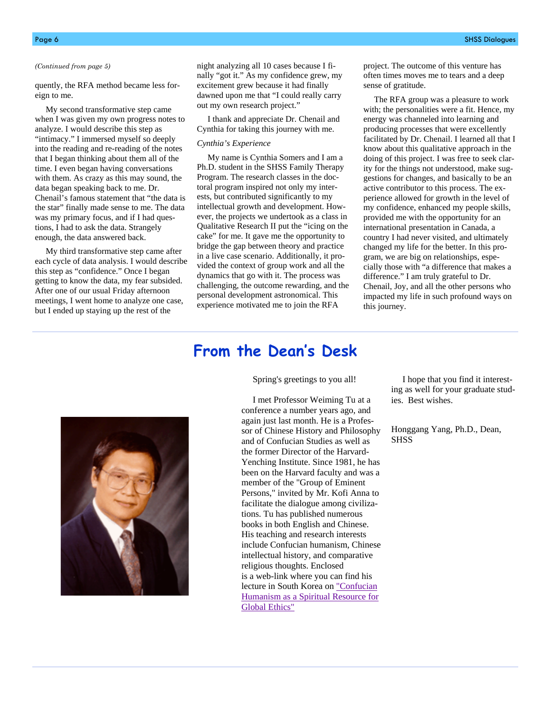quently, the RFA method became less foreign to me.

 My second transformative step came when I was given my own progress notes to analyze. I would describe this step as "intimacy." I immersed myself so deeply into the reading and re-reading of the notes that I began thinking about them all of the time. I even began having conversations with them. As crazy as this may sound, the data began speaking back to me. Dr. Chenail's famous statement that "the data is the star" finally made sense to me. The data was my primary focus, and if I had questions, I had to ask the data. Strangely enough, the data answered back.

 My third transformative step came after each cycle of data analysis. I would describe this step as "confidence." Once I began getting to know the data, my fear subsided. After one of our usual Friday afternoon meetings, I went home to analyze one case, but I ended up staying up the rest of the

*(Continued from page 5)* night analyzing all 10 cases because I finally "got it." As my confidence grew, my excitement grew because it had finally dawned upon me that "I could really carry out my own research project."

> I thank and appreciate Dr. Chenail and Cynthia for taking this journey with me.

#### *Cynthia's Experience*

 My name is Cynthia Somers and I am a Ph.D. student in the SHSS Family Therapy Program. The research classes in the doctoral program inspired not only my interests, but contributed significantly to my intellectual growth and development. However, the projects we undertook as a class in Qualitative Research II put the "icing on the cake" for me. It gave me the opportunity to bridge the gap between theory and practice in a live case scenario. Additionally, it provided the context of group work and all the dynamics that go with it. The process was challenging, the outcome rewarding, and the personal development astronomical. This experience motivated me to join the RFA

project. The outcome of this venture has often times moves me to tears and a deep sense of gratitude.

 The RFA group was a pleasure to work with; the personalities were a fit. Hence, my energy was channeled into learning and producing processes that were excellently facilitated by Dr. Chenail. I learned all that I know about this qualitative approach in the doing of this project. I was free to seek clarity for the things not understood, make suggestions for changes, and basically to be an active contributor to this process. The experience allowed for growth in the level of my confidence, enhanced my people skills, provided me with the opportunity for an international presentation in Canada, a country I had never visited, and ultimately changed my life for the better. In this program, we are big on relationships, especially those with "a difference that makes a difference." I am truly grateful to Dr. Chenail, Joy, and all the other persons who impacted my life in such profound ways on this journey.

# **From the Dean's Desk**

Spring's greetings to you all!

 I met Professor Weiming Tu at a conference a number years ago, and again just last month. He is a Professor of Chinese History and Philosophy and of Confucian Studies as well as the former Director of the Harvard-Yenching Institute. Since 1981, he has been on the Harvard faculty and was a member of the "Group of Eminent Persons," invited by Mr. Kofi Anna to facilitate the dialogue among civilizations. Tu has published numerous books in both English and Chinese. His teaching and research interests include Confucian humanism, Chinese intellectual history, and comparative religious thoughts. Enclosed is a web-link where you can find his lecture in South Korea on ["Confucian](http://tuweiming.net/index.php?option=com_content&view=article&id=69:confuci) [Humanism as a Spiritual Resource for](http://tuweiming.net/index.php?option=com_content&view=article&id=69:confuci)  [Global Ethics"](http://tuweiming.net/index.php?option=com_content&view=article&id=69:confuci)

 I hope that you find it interesting as well for your graduate studies. Best wishes.

Honggang Yang, Ph.D., Dean, **SHSS** 

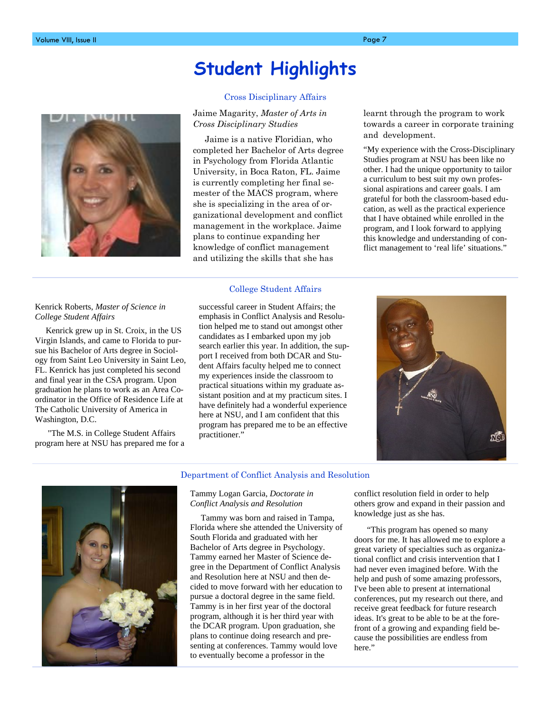# **Student Highlights**



#### Cross Disciplinary Affairs

Jaime Magarity, *Master of Arts in Cross Disciplinary Studies*

 Jaime is a native Floridian, who completed her Bachelor of Arts degree in Psychology from Florida Atlantic University, in Boca Raton, FL. Jaime is currently completing her final semester of the MACS program, where she is specializing in the area of organizational development and conflict management in the workplace. Jaime plans to continue expanding her knowledge of conflict management and utilizing the skills that she has

#### College Student Affairs

Kenrick Roberts, *Master of Science in College Student Affairs*

 Kenrick grew up in St. Croix, in the US Virgin Islands, and came to Florida to pursue his Bachelor of Arts degree in Sociology from Saint Leo University in Saint Leo, FL. Kenrick has just completed his second and final year in the CSA program. Upon graduation he plans to work as an Area Coordinator in the Office of Residence Life at The Catholic University of America in Washington, D.C.

 "The M.S. in College Student Affairs program here at NSU has prepared me for a successful career in Student Affairs; the emphasis in Conflict Analysis and Resolution helped me to stand out amongst other candidates as I embarked upon my job search earlier this year. In addition, the support I received from both DCAR and Student Affairs faculty helped me to connect my experiences inside the classroom to practical situations within my graduate assistant position and at my practicum sites. I have definitely had a wonderful experience here at NSU, and I am confident that this program has prepared me to be an effective practitioner."

learnt through the program to work towards a career in corporate training and development.

"My experience with the Cross-Disciplinary Studies program at NSU has been like no other. I had the unique opportunity to tailor a curriculum to best suit my own professional aspirations and career goals. I am grateful for both the classroom-based education, as well as the practical experience that I have obtained while enrolled in the program, and I look forward to applying this knowledge and understanding of conflict management to 'real life' situations."





#### Department of Conflict Analysis and Resolution

Tammy Logan Garcia, *Doctorate in Conflict Analysis and Resolution*

 Tammy was born and raised in Tampa, Florida where she attended the University of South Florida and graduated with her Bachelor of Arts degree in Psychology. Tammy earned her Master of Science degree in the Department of Conflict Analysis and Resolution here at NSU and then decided to move forward with her education to pursue a doctoral degree in the same field. Tammy is in her first year of the doctoral program, although it is her third year with the DCAR program. Upon graduation, she plans to continue doing research and presenting at conferences. Tammy would love to eventually become a professor in the

conflict resolution field in order to help others grow and expand in their passion and knowledge just as she has.

 "This program has opened so many doors for me. It has allowed me to explore a great variety of specialties such as organizational conflict and crisis intervention that I had never even imagined before. With the help and push of some amazing professors, I've been able to present at international conferences, put my research out there, and receive great feedback for future research ideas. It's great to be able to be at the forefront of a growing and expanding field because the possibilities are endless from here."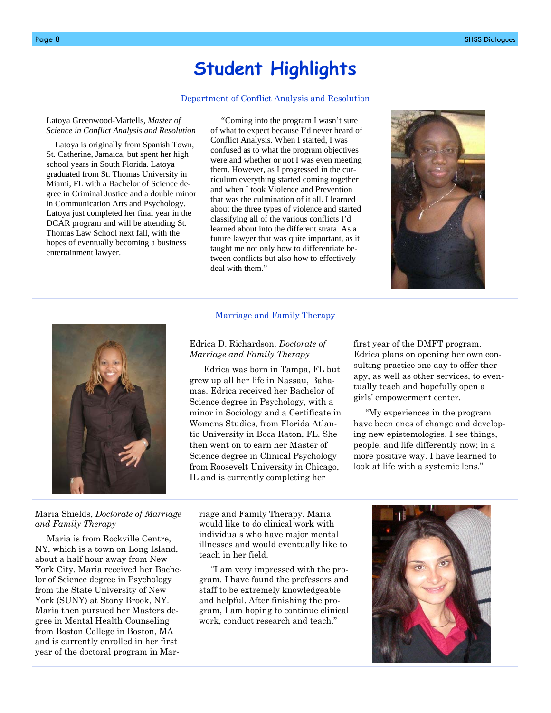# **Student Highlights**

#### Department of Conflict Analysis and Resolution

Latoya Greenwood-Martells, *Master of Science in Conflict Analysis and Resolution* 

 Latoya is originally from Spanish Town, St. Catherine, Jamaica, but spent her high school years in South Florida. Latoya graduated from St. Thomas University in Miami, FL with a Bachelor of Science degree in Criminal Justice and a double minor in Communication Arts and Psychology. Latoya just completed her final year in the DCAR program and will be attending St. Thomas Law School next fall, with the hopes of eventually becoming a business entertainment lawyer.

 "Coming into the program I wasn't sure of what to expect because I'd never heard of Conflict Analysis. When I started, I was confused as to what the program objectives were and whether or not I was even meeting them. However, as I progressed in the curriculum everything started coming together and when I took Violence and Prevention that was the culmination of it all. I learned about the three types of violence and started classifying all of the various conflicts I'd learned about into the different strata. As a future lawyer that was quite important, as it taught me not only how to differentiate between conflicts but also how to effectively deal with them."





#### Maria Shields, *Doctorate of Marriage and Family Therapy*

 Maria is from Rockville Centre, NY, which is a town on Long Island, about a half hour away from New York City. Maria received her Bachelor of Science degree in Psychology from the State University of New York (SUNY) at Stony Brook, NY. Maria then pursued her Masters degree in Mental Health Counseling from Boston College in Boston, MA and is currently enrolled in her first year of the doctoral program in Mar-

#### Marriage and Family Therapy

#### Edrica D. Richardson, *Doctorate of Marriage and Family Therapy*

 Edrica was born in Tampa, FL but grew up all her life in Nassau, Bahamas. Edrica received her Bachelor of Science degree in Psychology, with a minor in Sociology and a Certificate in Womens Studies, from Florida Atlantic University in Boca Raton, FL. She then went on to earn her Master of Science degree in Clinical Psychology from Roosevelt University in Chicago, IL and is currently completing her

first year of the DMFT program. Edrica plans on opening her own consulting practice one day to offer therapy, as well as other services, to eventually teach and hopefully open a girls' empowerment center.

 "My experiences in the program have been ones of change and developing new epistemologies. I see things, people, and life differently now; in a more positive way. I have learned to look at life with a systemic lens."

riage and Family Therapy. Maria would like to do clinical work with individuals who have major mental illnesses and would eventually like to teach in her field.

 "I am very impressed with the program. I have found the professors and staff to be extremely knowledgeable and helpful. After finishing the program, I am hoping to continue clinical work, conduct research and teach."